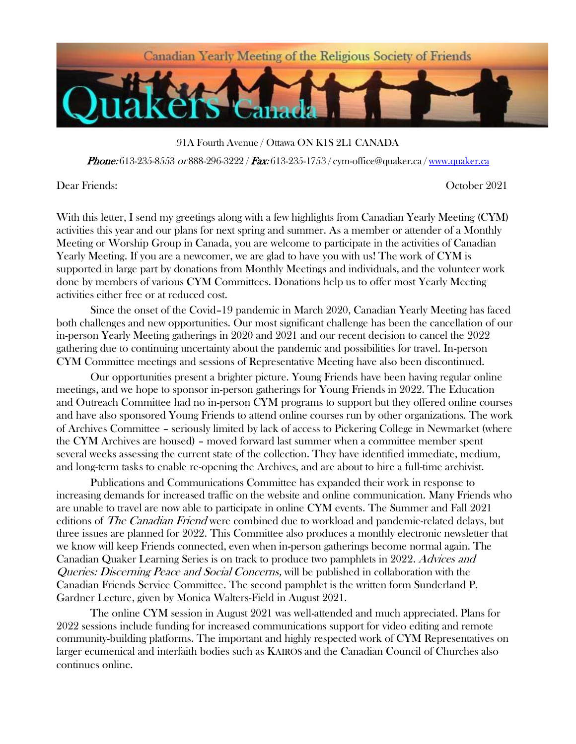

91A Fourth Avenue / Ottawa ON K1S 2L1 CANADA

**Phone:** 613-235-8553 or 888-296-3222 / **Fax:** 613-235-1753 / [cym-office@quaker.ca](mailto:cym-office@quaker.ca) / [www.quaker.ca](http://www.quaker.ca/)

Dear Friends: October 2021

With this letter, I send my greetings along with a few highlights from Canadian Yearly Meeting (CYM) activities this year and our plans for next spring and summer. As a member or attender of a Monthly Meeting or Worship Group in Canada, you are welcome to participate in the activities of Canadian Yearly Meeting. If you are a newcomer, we are glad to have you with us! The work of CYM is supported in large part by donations from Monthly Meetings and individuals, and the volunteer work done by members of various CYM Committees. Donations help us to offer most Yearly Meeting activities either free or at reduced cost.

Since the onset of the Covid–19 pandemic in March 2020, Canadian Yearly Meeting has faced both challenges and new opportunities. Our most significant challenge has been the cancellation of our in-person Yearly Meeting gatherings in 2020 and 2021 and our recent decision to cancel the 2022 gathering due to continuing uncertainty about the pandemic and possibilities for travel. In-person CYM Committee meetings and sessions of Representative Meeting have also been discontinued.

Our opportunities present a brighter picture. Young Friends have been having regular online meetings, and we hope to sponsor in-person gatherings for Young Friends in 2022. The Education and Outreach Committee had no in-person CYM programs to support but they offered online courses and have also sponsored Young Friends to attend online courses run by other organizations. The work of Archives Committee – seriously limited by lack of access to Pickering College in Newmarket (where the CYM Archives are housed) – moved forward last summer when a committee member spent several weeks assessing the current state of the collection. They have identified immediate, medium, and long-term tasks to enable re-opening the Archives, and are about to hire a full-time archivist.

Publications and Communications Committee has expanded their work in response to increasing demands for increased traffic on the website and online communication. Many Friends who are unable to travel are now able to participate in online CYM events. The Summer and Fall 2021 editions of *The Canadian Friend* were combined due to workload and pandemic-related delays, but three issues are planned for 2022. This Committee also produces a monthly electronic newsletter that we know will keep Friends connected, even when in-person gatherings become normal again. The Canadian Quaker Learning Series is on track to produce two pamphlets in 2022. Advices and Queries: Discerning Peace and Social Concerns, will be published in collaboration with the Canadian Friends Service Committee. The second pamphlet is the written form Sunderland P. Gardner Lecture, given by Monica Walters-Field in August 2021.

The online CYM session in August 2021 was well-attended and much appreciated. Plans for 2022 sessions include funding for increased communications support for video editing and remote community-building platforms. The important and highly respected work of CYM Representatives on larger ecumenical and interfaith bodies such as KAIROS and the Canadian Council of Churches also continues online.